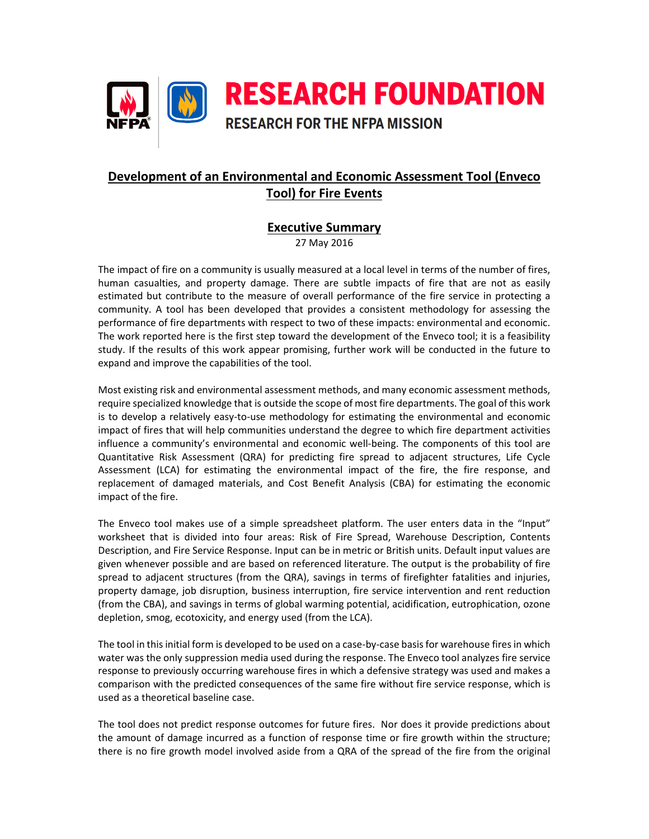

## **Development of an Environmental and Economic Assessment Tool (Enveco Tool) for Fire Events**

## **Executive Summary**

27 May 2016

The impact of fire on a community is usually measured at a local level in terms of the number of fires, human casualties, and property damage. There are subtle impacts of fire that are not as easily estimated but contribute to the measure of overall performance of the fire service in protecting a community. A tool has been developed that provides a consistent methodology for assessing the performance of fire departments with respect to two of these impacts: environmental and economic. The work reported here is the first step toward the development of the Enveco tool; it is a feasibility study. If the results of this work appear promising, further work will be conducted in the future to expand and improve the capabilities of the tool.

Most existing risk and environmental assessment methods, and many economic assessment methods, require specialized knowledge that is outside the scope of most fire departments. The goal of this work is to develop a relatively easy‐to‐use methodology for estimating the environmental and economic impact of fires that will help communities understand the degree to which fire department activities influence a community's environmental and economic well-being. The components of this tool are Quantitative Risk Assessment (QRA) for predicting fire spread to adjacent structures, Life Cycle Assessment (LCA) for estimating the environmental impact of the fire, the fire response, and replacement of damaged materials, and Cost Benefit Analysis (CBA) for estimating the economic impact of the fire.

The Enveco tool makes use of a simple spreadsheet platform. The user enters data in the "Input" worksheet that is divided into four areas: Risk of Fire Spread, Warehouse Description, Contents Description, and Fire Service Response. Input can be in metric or British units. Default input values are given whenever possible and are based on referenced literature. The output is the probability of fire spread to adjacent structures (from the QRA), savings in terms of firefighter fatalities and injuries, property damage, job disruption, business interruption, fire service intervention and rent reduction (from the CBA), and savings in terms of global warming potential, acidification, eutrophication, ozone depletion, smog, ecotoxicity, and energy used (from the LCA).

The tool in this initial form is developed to be used on a case-by-case basis for warehouse fires in which water was the only suppression media used during the response. The Enveco tool analyzes fire service response to previously occurring warehouse fires in which a defensive strategy was used and makes a comparison with the predicted consequences of the same fire without fire service response, which is used as a theoretical baseline case.

The tool does not predict response outcomes for future fires. Nor does it provide predictions about the amount of damage incurred as a function of response time or fire growth within the structure; there is no fire growth model involved aside from a QRA of the spread of the fire from the original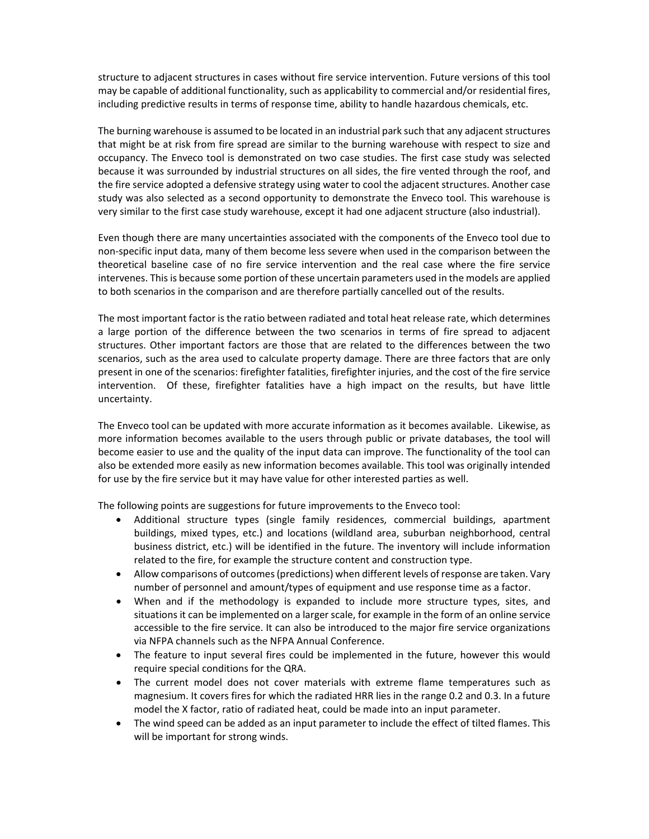structure to adjacent structures in cases without fire service intervention. Future versions of this tool may be capable of additional functionality, such as applicability to commercial and/or residential fires, including predictive results in terms of response time, ability to handle hazardous chemicals, etc.

The burning warehouse is assumed to be located in an industrial park such that any adjacent structures that might be at risk from fire spread are similar to the burning warehouse with respect to size and occupancy. The Enveco tool is demonstrated on two case studies. The first case study was selected because it was surrounded by industrial structures on all sides, the fire vented through the roof, and the fire service adopted a defensive strategy using water to cool the adjacent structures. Another case study was also selected as a second opportunity to demonstrate the Enveco tool. This warehouse is very similar to the first case study warehouse, except it had one adjacent structure (also industrial).

Even though there are many uncertainties associated with the components of the Enveco tool due to non‐specific input data, many of them become less severe when used in the comparison between the theoretical baseline case of no fire service intervention and the real case where the fire service intervenes. This is because some portion of these uncertain parameters used in the models are applied to both scenarios in the comparison and are therefore partially cancelled out of the results.

The most important factor is the ratio between radiated and total heat release rate, which determines a large portion of the difference between the two scenarios in terms of fire spread to adjacent structures. Other important factors are those that are related to the differences between the two scenarios, such as the area used to calculate property damage. There are three factors that are only present in one of the scenarios: firefighter fatalities, firefighter injuries, and the cost of the fire service intervention. Of these, firefighter fatalities have a high impact on the results, but have little uncertainty.

The Enveco tool can be updated with more accurate information as it becomes available. Likewise, as more information becomes available to the users through public or private databases, the tool will become easier to use and the quality of the input data can improve. The functionality of the tool can also be extended more easily as new information becomes available. This tool was originally intended for use by the fire service but it may have value for other interested parties as well.

The following points are suggestions for future improvements to the Enveco tool:

- Additional structure types (single family residences, commercial buildings, apartment buildings, mixed types, etc.) and locations (wildland area, suburban neighborhood, central business district, etc.) will be identified in the future. The inventory will include information related to the fire, for example the structure content and construction type.
- Allow comparisons of outcomes (predictions) when different levels of response are taken. Vary number of personnel and amount/types of equipment and use response time as a factor.
- When and if the methodology is expanded to include more structure types, sites, and situations it can be implemented on a larger scale, for example in the form of an online service accessible to the fire service. It can also be introduced to the major fire service organizations via NFPA channels such as the NFPA Annual Conference.
- The feature to input several fires could be implemented in the future, however this would require special conditions for the QRA.
- The current model does not cover materials with extreme flame temperatures such as magnesium. It covers fires for which the radiated HRR lies in the range 0.2 and 0.3. In a future model the X factor, ratio of radiated heat, could be made into an input parameter.
- The wind speed can be added as an input parameter to include the effect of tilted flames. This will be important for strong winds.